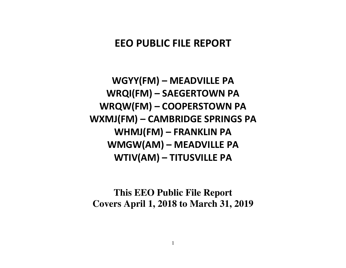# **EEO PUBLIC FILE REPORT**

**WGYY(FM) – MEADVILLE PA WRQI(FM) – SAEGERTOWN PA WRQW(FM) – COOPERSTOWN PA WXMJ(FM) – CAMBRIDGE SPRINGS PA WHMJ(FM) – FRANKLIN PA WMGW(AM) – MEADVILLE PA WTIV(AM) – TITUSVILLE PA** 

**This EEO Public File Report Covers April 1, 2018 to March 31, 2019**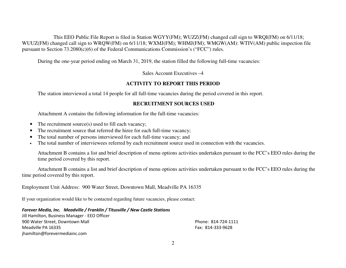This EEO Public File Report is filed in Station WGYY(FM); WUZZ(FM) changed call sign to WRQI(FM) on 6/11/18;<br>1. In the composition of 6/11/19, WYMICMO, WILMICMO, WAGW(AM), WTW(AM), LUCCO WUUZ(FM) changed call sign to WRQW(FM) on 6/11/18; WXMJ(FM); WHMJ(FM); WMGW(AM): WTIV(AM) public inspection file pursuant to Section 73.2080(c)(6) of the Federal Communications Commission's ("FCC") rules.

During the one-year period ending on March 31, 2019, the station filled the following full-time vacancies:

Sales Account Executives –4

### **ACTIVITY TO REPORT THIS PERIOD**

The station interviewed a total 14 people for all full-time vacancies during the period covered in this report.

### **RECRUITMENT SOURCES USED**

Attachment A contains the following information for the full-time vacancies:

- $\bullet$ The recruitment source(s) used to fill each vacancy;
- •The recruitment source that referred the hiree for each full-time vacancy;
- •The total number of persons interviewed for each full-time vacancy; and
- •The total number of interviewees referred by each recruitment source used in connection with the vacancies.

Attachment B contains a list and brief description of menu options activities undertaken pursuant to the FCC's EEO rules during the time period covered by this report.

 Attachment B contains a list and brief description of menu options activities undertaken pursuant to the FCC's EEO rules during the time period covered by this report.

Employment Unit Address: 900 Water Street, Downtown Mall, Meadville PA 16335

If your organization would like to be contacted regarding future vacancies, please contact:

*Forever Media, Inc. Meadville / Franklin / Titusville / New Castle Stations* Jill Hamilton, Business Manager - EEO Officer er 900 Water Street, Downtown Mall Phone: 814-724-1111 Meadville PA 16335 Fax: 814-333-9628 jhamilton@forevermediainc.com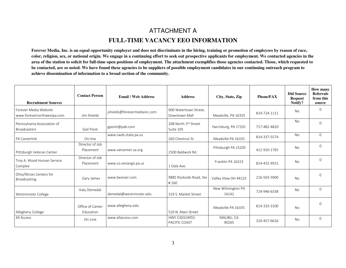# ATTACHMENT A **FULL-TIME VACANCY EEO INFORMATION**

**Forever Media, Inc. is an equal opportunity employer and does not discriminate in the hiring, training or promotion of employees by reason of race, color, religion, sex, or national origin. We engage in a continuing effort to seek out prospective applicants for employment. We contacted agencies in the area of the station to solicit for full-time open positions of employment. The attachment exemplifies those agencies contacted. Those, which requested tobe contacted, are so noted. We have found these agencies to be suppliers of possible employment candidates in our continuing outreach program to achieve dissemination of information to a broad section of the community.** 

| <b>Recruitment Sources</b>                          | <b>Contact Person</b>         | <b>Email / Web Address</b>   | <b>Address</b>                         | City, State, Zip           | Phone/FAX    | <b>Did Source</b><br><b>Request</b><br>Notify? | How many<br><b>Referrals</b><br>from this<br>source |
|-----------------------------------------------------|-------------------------------|------------------------------|----------------------------------------|----------------------------|--------------|------------------------------------------------|-----------------------------------------------------|
| Forever Media Website<br>www.forevernorthwestpa.com | Jim Shields                   | jshields@forevermediainc.com | 900 Watertown Street,<br>Downtown Mall | Meadville, PA 16335        | 814-724-1111 | <b>No</b>                                      | $\Omega$                                            |
| Pennsylvania Association of<br><b>Broadcasters</b>  | Gail Ponti                    | gponti@pab.com               | 208 North 3rd Street<br>Suite 105      | Harrisburg, PA 17101       | 717-482-4820 | No                                             | $\mathbf{0}$                                        |
| <b>PA Careerlink</b>                                | On-line                       | www.cwds.state.pa.us         | 260 Chestnut St.                       | Meadville PA 16335         | 814-337-5574 | <b>No</b>                                      | $\Omega$                                            |
| Pittsburgh Veteran Center                           | Director of Job<br>Placement  | www.vetcenter.va.org         | 2500 Baldwick Rd.                      | Pittsburgh PA 15205        | 412-920-1765 | <b>No</b>                                      | $\Omega$                                            |
| Troy A. Wood Human Service<br>Complex               | Director of Job<br>Placement  | www.co.venango.pa.us         | 1 Dale Ave.                            | Franklin PA 16323          | 814-432-9551 | No.                                            | $\Omega$                                            |
| Ohio/Illinois Centers for<br>Broadcasting           | Gary James                    | www.beonair.com              | 9885 Rockside Road, Ste<br>#160        | Valley View OH 44125       | 216-503-5900 | <b>No</b>                                      | $\Omega$                                            |
| Westminster College                                 | Katy Demedal                  | demedal@westminster.edu      | 319 S. Market Street                   | New Wilmington PA<br>16142 | 724-946-6338 | No                                             | $\Omega$                                            |
| Allegheny College                                   | Office of Career<br>Education | www.allegheny.edu            | 520 N. Main Street                     | Meadville PA 16335         | 814-333-3100 | No.                                            | $\Omega$                                            |
| All Access                                          | On-Line                       | www.allaccess.com            | HWY C30324955<br>PACIFIC COAST         | MALIBU, CA<br>90265        | 310-457-6616 | No                                             | $\Omega$                                            |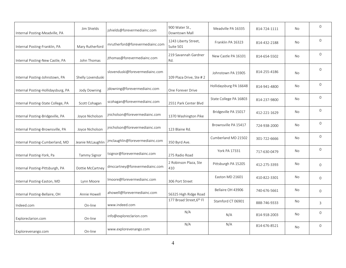| Internal Posting-Meadville, PA     | Jim Shields       | jshields@forevermediainc.com    | 900 Water St.,<br>Downtown Mall   | Meadville PA 16335     | 814-724-1111 | <b>No</b> | $\mathbf{0}$ |
|------------------------------------|-------------------|---------------------------------|-----------------------------------|------------------------|--------------|-----------|--------------|
| Internal Posting-Franklin, PA      | Mary Rutherford   | mrutherford@forevermediainc.com | 1243 Liberty Street,<br>Suite 501 | Franklin PA 16323      | 814-432-2188 | No        | $\Omega$     |
| Internal Posting-New Castle, PA    | John Thomas       | jthomas@forevermediainc.com     | 219 Savannah Gardner<br>Rd.       | New Castle PA 16101    | 814-654-5502 | No        | $\mathbf{0}$ |
| Internal Posting-Johnstown, PA     | Shelly Lovenduski | slovenduski@forevermediainc.com | 109 Plaza Drive, Ste #2           | Johnstown PA 15905     | 814-255-4186 | <b>No</b> | $\mathbf{0}$ |
| Internal Posting-Hollidaysburg, PA | Jody Downing      | jdowning@forevermediainc.com    | One Forever Drive                 | Hollidaysburg PA 16648 | 814-941-4800 | No        | $\mathbf{0}$ |
| Internal Posting-State College, PA | Scott Cohagan     | scohagan@forevermediainc.com    | 2551 Park Center Blvd             | State College PA 16803 | 814-237-9800 | No        | $\Omega$     |
| Internal Posting-Bridgeville, PA   | Joyce Nicholson   | jnicholson@forevermediainc.com  | 1370 Washington Pike              | Bridgeville PA 15017   | 412-221-1629 | No        | $\Omega$     |
| Internal Posting-Brownsville, PA   | Joyce Nicholson   | jnicholson@forevermediainc.com  | 123 Blaine Rd.                    | Brownsville PA 15417   | 724-938-2000 | No        | $\mathbf 0$  |
| Internal Posting-Cumberland, MD    | Jeanie McLaughlin | jmclaughlin@forevermediainc.com | 350 Byrd Ave.                     | Cumberland MD 21502    | 301-722-6666 | No        | $\mathbf{0}$ |
| Internal Posting-York, Pa          | Tammy Signor      | tsignor@forevermediainc.com     | 275 Radio Road                    | York PA 17331          | 717-630-0479 | <b>No</b> | $\Omega$     |
| Internal Posting-Pittsburgh, PA    | Dottie McCartney  | dmccartney@forevermediainc.com  | 2 Robinson Plaza, Ste<br>410      | Pittsburgh PA 15205    | 412-275-3393 | No        | $\mathbf 0$  |
| Internal Posting-Easton, MD        | Lynn Moore        | Imoore@forevermediainc.com      | 306 Port Street                   | Easton MD 21601        | 410-822-3301 | No        | $\Omega$     |
| Internal Posting-Bellaire, OH      | Annie Howell      | ahowell@forevermediainc.com     | 56325 High Ridge Road             | Bellaire OH 43906      | 740-676-5661 | No        | $\mathbf 0$  |
| Indeed.com                         | On-line           | www.indeed.com                  | 177 Broad Street, 6th Fl          | Stamford CT 06901      | 888-746-9333 | No        | 3            |
| Exploreclarion.com                 | On-line           | info@exploreclarion.com         | N/A                               | N/A                    | 814-918-2003 | No        | $\mathbf 0$  |
| Explorevenango.com                 | On-line           | www.explorevenango.com          | N/A                               | N/A                    | 814-676-8521 | <b>No</b> | $\mathbf{0}$ |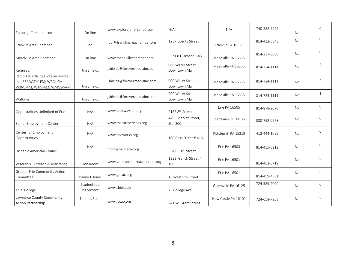| Explorejeffersonpa.com                                                                        | On-line                  | www.explorejeffersonpa.com     | N/A                                | N/A                 | 740-282-6226 | No        | $\overline{0}$ |
|-----------------------------------------------------------------------------------------------|--------------------------|--------------------------------|------------------------------------|---------------------|--------------|-----------|----------------|
| Franklin Area Chamber                                                                         | Jodi                     | jodi@franklinareachamber.org   | 1237 Liberty Street                | Franklin PA 16323   | 814-432-5843 | <b>No</b> | $\Omega$       |
| Meadville Area Chamber                                                                        | On-line                  | www.meadvillechamber.com       | 908 Diamond Park                   | Meadville PA 16335  | 814-337-8030 | <b>No</b> | $\overline{0}$ |
| Referrals                                                                                     | Jim Shields              | jshields@forevermediainc.com   | 900 Water Street,<br>Downtown Mall | Meadville PA 16335  | 814-724-1111 | <b>No</b> | 3              |
| Radio Advertising (Forever Media,<br>Inc.)*** WGYY-FM; WRQI-FM;<br>WXMJ-FM; WTIV-AM; WMGW-AM. | Jim Shields              | jshields@forevermediainc.com   | 900 Water Street,<br>Downtown Mall | Meadville PA 16335  | 814-724-1111 | <b>No</b> | $\overline{7}$ |
| Walk-Ins                                                                                      | Jim Shields              | jshields@forevermediainc.com   | 900 Water Street,<br>Downtown Mall | Meadville PA 16335  | 814-724-1111 | <b>No</b> | $\mathbf{1}$   |
| Opportunities Unlimited of Erie                                                               | N/A                      | www.stairwaysbh.org            | 2185 8 <sup>th</sup> Street        | Erie PA 16505       | 814-878-2070 | <b>No</b> | $\overline{0}$ |
| Senior Employment Center                                                                      | N/A                      | www.matureservices.org         | 4495 Market Street,<br>Ste. 300    | Boardman OH 44512   | 330-782-0978 | No        | $\Omega$       |
| Center for Employment<br>Opportunities                                                        | N/A                      | www.ceoworks.org               | 100 Ross Street #416               | Pittsburgh PA 15219 | 412-444-1025 | <b>No</b> | $\Omega$       |
| Hispanic American Council                                                                     | N/A                      | mcrc@mcrcerie.org              | 554 E. 10 <sup>th</sup> Street     | Erie PA 16503       | 814-455-0212 | <b>No</b> | $\Omega$       |
| Veteran's Outreach & Assistance                                                               | Don Reeve                | www.veteransoutreachcenter.org | 1222 French Street #<br>100        | Erie PA 16501       | 814-453-5719 | <b>No</b> | $\mathsf{O}$   |
| <b>Greater Erie Community Action</b><br>Committee                                             | Danny J. Jones           | www.gecac.org                  | 18 West 9th Street                 | Erie PA 16501       | 814-459-4581 | <b>No</b> | $\Omega$       |
| Thiel College                                                                                 | Student Job<br>Placement | www.thiel.edu                  | 75 College Ave.                    | Greenville PA 16125 | 724-589-2000 | <b>No</b> | $\overline{0}$ |
| Lawrence County Community<br>Action Partnership                                               | Thomas Scott             | www.lccap.org                  | 241 W. Grant Street                | New Castle PA 16101 | 724-658-7258 | No        | $\overline{0}$ |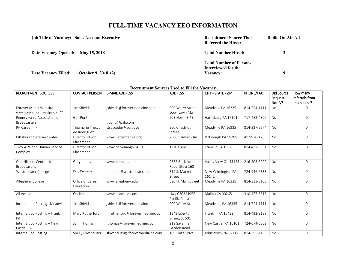### **FULL-TIME VACANCY EEO INFORMATION**

|                                   | <b>Job Title of Vacancy: Sales Account Executive</b> | <b>Recruitment Source That</b><br><b>Referred the Hiree:</b>             | Radio On-Air Ad |
|-----------------------------------|------------------------------------------------------|--------------------------------------------------------------------------|-----------------|
| Date Vacancy Opened: May 15, 2018 |                                                      | <b>Total Number Hired:</b>                                               | 2               |
| <b>Date Vacancy Filled:</b>       | October 9, 2018 (2)                                  | <b>Total Number of Persons</b><br>Interviewed for the<br><b>Vacancy:</b> | $\bf o$         |

### **Recruitment Sources Used to Fill the Vacancy**

| <b>RECRUITMENT SOURCES</b>                            | <b>CONTACT PERSON</b>            | <b>E-MAIL ADDRESS</b>           | <b>ADDRESS</b>                     | CITY - STATE - ZIP         | PHONE/FAX    | <b>Did Source</b><br>Request<br>Notify? | How many<br>referrals from<br>this source? |
|-------------------------------------------------------|----------------------------------|---------------------------------|------------------------------------|----------------------------|--------------|-----------------------------------------|--------------------------------------------|
| Forever Media Website<br>www.forevernorthwestpa.com** | Jim Shields                      | jshields@forevermediainc.com    | 900 Water Street,<br>Downtown Mall | Meadville PA 16335         | 814-724-1111 | <b>No</b>                               |                                            |
| Pennsylvania Association of<br><b>Broadcasters</b>    | Gail Ponti                       | gponti@pab.com                  | 208 North 3rd St.                  | Harrisburg PA 17101        | 717-482-4820 | <b>No</b>                               | $\Omega$                                   |
| PA Careerlink                                         | Tinamarie Trucco<br>de Rodriguez | ttruccoder@pa.gove              | 260 Chestnut<br>Street             | Meadville PA 16335         | 814-337-5574 | <b>No</b>                               | $\Omega$                                   |
| Pittsburgh Veteran Center                             | Director of Job<br>Placement     | www.vetcenter.va.org            | 2500 Baldwick Rd.                  | Pittsburgh PA 15205        | 412-920-1765 | <b>No</b>                               | $\Omega$                                   |
| Troy A. Wood Human Service<br>Complex                 | Director of Job<br>Placement     | www.co.venango.pa.us            | 1 Dale Ave.                        | Franklin PA 16323          | 814-432-9551 | <b>No</b>                               | $\Omega$                                   |
| Ohio/Illinois Centers for<br>Broadcasting             | Gary James                       | www.beonair.com                 | 9885 Rockside<br>Road, Ste #160    | Valley View Oh 44125       | 216-503-5900 | <b>No</b>                               | $\Omega$                                   |
| Westminster College                                   | Katy Demedal                     | demedal@westminster.edu         | 319 S. Market<br>Street            | New Wilmington PA<br>16142 | 724-946-6338 | No                                      | $\Omega$                                   |
| Allegheny College                                     | Office of Career<br>Education    | www.allegheny.edu               | 520 N. Main Street                 | Meadville PA 16335         | 814-333-3100 | <b>No</b>                               | $\Omega$                                   |
| All Access                                            | On-line                          | www.allaccess.com               | Hwy C30324955<br>Pacific Coast     | Malibu CA 90265            | 310-457-6616 | <b>No</b>                               | $\overline{0}$                             |
| Internal Job Posting -Meadville                       | Jim Shields                      | jshields@forevermediainc.com    | 900 Water St.                      | Meadville, PA 16335        | 814-724-1111 | No                                      | $\overline{0}$                             |
| Internal Job Posting - Franklin<br>PA                 | Mary Rutherford                  | mrutherford@forevermediainc.com | 1243 Liberty<br>Street, St 501     | Franklin PA 16432          | 814-432-2188 | <b>No</b>                               | $\overline{0}$                             |
| Internal Job Posting - New<br>Castle, PA              | John Thomas                      | jthomas@forevermediainc.com     | 219 Savannah<br>Garden Road        | New Castle, PA 16101       | 724-674-5502 | <b>No</b>                               | $\Omega$                                   |
| Internal Job Posting -                                | Shelly Lovenduski                | slovenduski@forevermediainc.com | 109 Plaza Drive,                   | Johnstown PA 15905         | 814-255-4186 | No                                      | $\mathbf{0}$                               |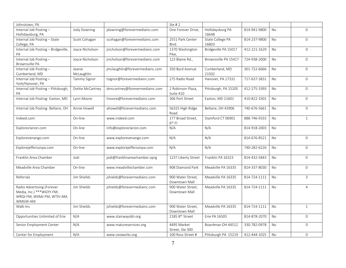| Johnstown, PA                       |                  |                                 | Ste $#2$            |                      |              |           |                |
|-------------------------------------|------------------|---------------------------------|---------------------|----------------------|--------------|-----------|----------------|
| Internal Job Posting-               | Jody Downing     | jdowning@forevermediainc.com    | One Forever Drive,  | Hollidaysburg PA     | 814-941-9800 | No        | $\Omega$       |
| Hollidaysburg, PA                   |                  |                                 |                     | 16648                |              |           |                |
| Internal Job Posting - State        | Scott Cohagan    | scohagan@forevermediainc.com    | 2551 Park Center    | State College PA     | 814-237-9800 | <b>No</b> | $\Omega$       |
| College, PA                         |                  |                                 | Blvd.               | 16803                |              |           |                |
| Internal Job Posting - Bridgeville, | Joyce Nicholson  | jnicholson@forevermediainc.com  | 1370 Washington     | Bridgeville PA 15017 | 412-221-1629 | <b>No</b> | $\overline{0}$ |
| PA                                  |                  |                                 | Pike,               |                      |              |           |                |
| Internal Job Posting-               | Joyce Nicholson  | jnicholson@forevermediainc.com  | 123 Blaine Rd.,     | Brownsville PA 15417 | 724-938-2000 | <b>No</b> | $\mathbf 0$    |
| Brownsville PA                      |                  |                                 |                     |                      |              |           |                |
| Internal Job Posting-               | Jeanie           | jmclaughlin@forevermediainc.com | 350 Byrd Avenue     | Cumberland, MD       | 301-722-6666 | No        | $\Omega$       |
| Cumberland, MD                      | McLaughlin       |                                 |                     | 21502                |              |           |                |
| Internal Job Posting-               | Tammy Signor     | tsignor@forevermediainc.com     | 275 Radio Road      | Hanover, PA 17331    | 717-637-3831 | <b>No</b> | $\overline{0}$ |
| York/Hanover, PA                    |                  |                                 |                     |                      |              |           |                |
| Internal Job Posting - Pittsburgh,  | Dottie McCartney | dmccartney@forevermediainc.com  | 2 Robinson Plaza,   | Pittsburgh, PA 15205 | 412-275-3393 | No        | $\overline{0}$ |
| PA                                  |                  |                                 | Suite 410           |                      |              |           |                |
| Internal Job Posting- Easton, MD    | Lynn Moore       | Imoore@forevermediainc.com      | 306 Port Street     | Easton, MD 21601     | 410-822-3301 | <b>No</b> | $\mathbf{O}$   |
|                                     |                  |                                 |                     |                      |              |           |                |
| Internal Job Posting-Bellaire, OH   | Annie Howell     | ahowell@forevermediainc.com     | 56325 High Ridge    | Bellaire, OH 43906   | 740-676-5661 | No        | $\overline{0}$ |
|                                     |                  |                                 | Road                |                      |              |           |                |
| Indeed.com                          | On-line          | www.indeed.com                  | 177 Broad Street,   | Stamford CT 06901    | 888-746-9333 | <b>No</b> | $\mathbf{1}$   |
|                                     |                  |                                 | $6th$ FI            |                      |              |           |                |
| Exploreclarion.com                  | On-line          | info@exploreclarion.com         | N/A                 | N/A                  | 814-918-2003 | <b>No</b> |                |
|                                     |                  |                                 |                     |                      |              |           |                |
| Explorevenango.com                  | On-line          | www.explorevenango.com          | N/A                 | N/A                  | 814-676-8521 | <b>No</b> | $\mathbf{O}$   |
|                                     |                  |                                 |                     |                      |              |           |                |
| Explorejeffersonpa.com              | On-line          | www.explorejeffersonpa.com      | N/A                 | N/A                  | 740-282-6226 | <b>No</b> | $\overline{0}$ |
|                                     |                  |                                 |                     |                      |              |           |                |
| Franklin Area Chamber               | Jodi             | jodi@franklinareachamber.oprg   | 1237 Liberty Street | Franklin PA 16323    | 814-432-5843 | No        | $\overline{0}$ |
|                                     |                  |                                 |                     |                      |              |           |                |
| Meadville Area Chamber              | On-line          | www.meadvillechamber.com        | 908 Diamond Park    | Meadville PA 16335   | 814-337-8030 | <b>No</b> | $\mathbf 0$    |
|                                     |                  |                                 |                     |                      |              |           |                |
| Referrals                           | Jim Shields      | jshields@forevermediainc.com    | 900 Water Street,   | Meadville PA 16335   | 814-724-1111 | No        | 3              |
|                                     |                  |                                 | Downtown Mall       |                      |              |           |                |
| Radio Advertising (Forever          | Jim Shields      | jshields@forevermediainc.com    | 900 Water Street,   | Meadville PA 16335   | 814-724-1111 | No        | $\overline{4}$ |
| Media, Inc.) *** WGYY-FM;           |                  |                                 | Downtown Mall       |                      |              |           |                |
| WRQI-FM; WXMJ-FM; WTIV-AM;          |                  |                                 |                     |                      |              |           |                |
| WMGW-AM                             |                  |                                 |                     |                      |              |           |                |
| Walk-Ins                            | Jim Shields      | jshields@forevermediainc.com    | 900 Water Street,   | Meadville PA 16335   | 814-724-1111 | <b>No</b> | $\mathbf{1}$   |
|                                     |                  |                                 | Downtown Mall       |                      |              |           |                |
| Opportunities Unlimited of Erie     | N/A              | www.stairwaysbh.org             | 2185 8th Street     | Erie PA 16505        | 814-878-2070 | No        | $\overline{0}$ |
|                                     |                  |                                 |                     |                      |              |           |                |
| Senior Employment Center            | N/A              | www.matureservices.org          | 4495 Market         | Boardman OH 44512    | 330-782-0978 | No        | $\mathbf 0$    |
|                                     |                  |                                 | Street, Ste 300     |                      |              |           |                |
| Center for Employment               | N/A              | www.ceoworks.org                | 100 Ross Street #   | Pittsburgh PA 15219  | 412-444-1025 | No        | $\overline{0}$ |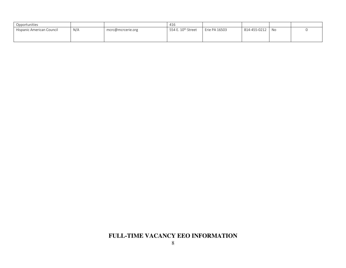| Opportunities             |     |                   | 416                            |               |                 |  |
|---------------------------|-----|-------------------|--------------------------------|---------------|-----------------|--|
| Hispanic American Council | N/A | mcrc@mcrcerie.org | 554 E. 10 <sup>th</sup> Street | Erie PA 16503 | 814-455-0212 No |  |
|                           |     |                   |                                |               |                 |  |
|                           |     |                   |                                |               |                 |  |

## **FULL-TIME VACANCY EEO INFORMATION**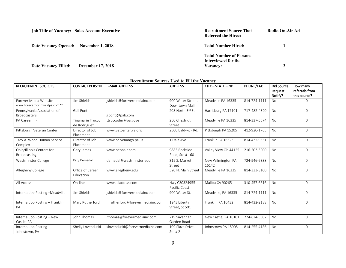| <b>Job Title of Vacancy: Sales Account Executive</b>   | <b>Recruitment Source That</b><br><b>Referred the Hiree:</b>             | Radio On-Air Ad |
|--------------------------------------------------------|--------------------------------------------------------------------------|-----------------|
| <b>Date Vacancy Opened:</b><br><b>November 1, 2018</b> | <b>Total Number Hired:</b>                                               |                 |
| <b>December 17, 2018</b><br>Date Vacancy Filled:       | <b>Total Number of Persons</b><br>Interviewed for the<br><b>Vacancy:</b> | 2               |

#### **Recruitment Sources Used to Fill the Vacancy**

| <b>RECRUITMENT SOURCES</b>                            | <b>CONTACT PERSON</b>            | <b>E-MAIL ADDRESS</b>           | <b>ADDRESS</b>                     | CITY - STATE - ZIP         | <b>PHONE/FAX</b> | Did Source<br>Request<br>Notify? | How many<br>referrals from<br>this source? |
|-------------------------------------------------------|----------------------------------|---------------------------------|------------------------------------|----------------------------|------------------|----------------------------------|--------------------------------------------|
| Forever Media Website<br>www.forevernorthwestpa.com** | Jim Shields                      | jshields@forevermediainc.com    | 900 Water Street,<br>Downtown Mall | Meadville PA 16335         | 814-724-1111     | <b>No</b>                        |                                            |
| Pennsylvania Association of<br><b>Broadcasters</b>    | Gail Ponti                       | gponti@pab.com                  | 208 North 3rd St.                  | Harrisburg PA 17101        | 717-482-4820     | <b>No</b>                        | $\Omega$                                   |
| PA Careerlink                                         | Tinamarie Trucco<br>de Rodriguez | ttruccoder@pa.gove              | 260 Chestnut<br>Street             | Meadville PA 16335         | 814-337-5574     | <b>No</b>                        | $\Omega$                                   |
| Pittsburgh Veteran Center                             | Director of Job<br>Placement     | www.vetcenter.va.org            | 2500 Baldwick Rd.                  | Pittsburgh PA 15205        | 412-920-1765     | <b>No</b>                        | 0                                          |
| Troy A. Wood Human Service<br>Complex                 | Director of Job<br>Placement     | www.co.venango.pa.us            | 1 Dale Ave.                        | Franklin PA 16323          | 814-432-9551     | <b>No</b>                        | $\Omega$                                   |
| Ohio/Illinois Centers for<br>Broadcasting             | Gary James                       | www.beonair.com                 | 9885 Rockside<br>Road, Ste #160    | Valley View Oh 44125       | 216-503-5900     | <b>No</b>                        | $\Omega$                                   |
| Westminster College                                   | Katy Demedal                     | demedal@westminster.edu         | 319 S. Market<br>Street            | New Wilmington PA<br>16142 | 724-946-6338     | <b>No</b>                        | $\Omega$                                   |
| Allegheny College                                     | Office of Career<br>Education    | www.allegheny.edu               | 520 N. Main Street                 | Meadville PA 16335         | 814-333-3100     | <b>No</b>                        | 0                                          |
| All Access                                            | On-line                          | www.allaccess.com               | Hwy C30324955<br>Pacific Coast     | Malibu CA 90265            | 310-457-6616     | <b>No</b>                        | $\Omega$                                   |
| Internal Job Posting-Meadville                        | Jim Shields                      | jshields@forevermediainc.com    | 900 Water St.                      | Meadville, PA 16335        | 814-724-1111     | <b>No</b>                        | $\Omega$                                   |
| Internal Job Posting - Franklin<br>PA                 | Mary Rutherford                  | mrutherford@forevermediainc.com | 1243 Liberty<br>Street, St 501     | Franklin PA 16432          | 814-432-2188     | <b>No</b>                        | $\overline{O}$                             |
| Internal Job Posting - New<br>Castle, PA              | John Thomas                      | jthomas@forevermediainc.com     | 219 Savannah<br>Garden Road        | New Castle, PA 16101       | 724-674-5502     | <b>No</b>                        | $\Omega$                                   |
| Internal Job Posting-<br>Johnstown, PA                | Shelly Lovenduski                | slovenduski@forevermediainc.com | 109 Plaza Drive,<br>Ste $#2$       | Johnstown PA 15905         | 814-255-4186     | <b>No</b>                        | $\Omega$                                   |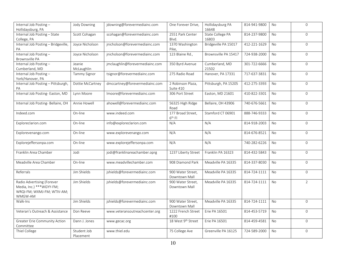| Internal Job Posting-<br>Hollidaysburg, PA | Jody Downing        | jdowning@forevermediainc.com    | One Forever Drive,       | Hollidaysburg PA<br>16648 | 814-941-9800 | No        | $\Omega$       |
|--------------------------------------------|---------------------|---------------------------------|--------------------------|---------------------------|--------------|-----------|----------------|
| Internal Job Posting - State               | Scott Cohagan       | scohagan@forevermediainc.com    | 2551 Park Center         | State College PA          | 814-237-9800 | <b>No</b> | $\mathbf{O}$   |
| College, PA                                |                     |                                 | Blvd.                    | 16803                     |              |           |                |
| Internal Job Posting - Bridgeville,<br>PA  | Joyce Nicholson     | jnicholson@forevermediainc.com  | 1370 Washington<br>Pike, | Bridgeville PA 15017      | 412-221-1629 | <b>No</b> | $\Omega$       |
| Internal Job Posting-                      | Joyce Nicholson     | jnicholson@forevermediainc.com  | 123 Blaine Rd.,          | Brownsville PA 15417      | 724-938-2000 | <b>No</b> | $\overline{0}$ |
| Brownsville PA                             |                     |                                 |                          |                           |              |           |                |
| Internal Job Posting-                      | Jeanie              | jmclaughlin@forevermediainc.com | 350 Byrd Avenue          | Cumberland, MD            | 301-722-6666 | No        | $\Omega$       |
| Cumberland, MD                             | McLaughlin          |                                 |                          | 21502                     |              |           |                |
| Internal Job Posting-                      | <b>Tammy Signor</b> | tsignor@forevermediainc.com     | 275 Radio Road           | Hanover, PA 17331         | 717-637-3831 | <b>No</b> | $\overline{0}$ |
| York/Hanover, PA                           |                     |                                 |                          |                           |              |           |                |
| Internal Job Posting - Pittsburgh,         | Dottie McCartney    | dmccartney@forevermediainc.com  | 2 Robinson Plaza,        | Pittsburgh, PA 15205      | 412-275-3393 | <b>No</b> | $\Omega$       |
| PA                                         |                     |                                 | Suite 410                |                           |              |           |                |
| Internal Job Posting-Easton, MD            | Lynn Moore          | Imoore@forevermediainc.com      | 306 Port Street          | Easton, MD 21601          | 410-822-3301 | <b>No</b> | $\overline{0}$ |
|                                            |                     |                                 |                          |                           |              |           |                |
| Internal Job Posting- Bellaire, OH         | Annie Howell        | ahowell@forevermediainc.com     | 56325 High Ridge         | Bellaire, OH 43906        | 740-676-5661 | <b>No</b> | $\overline{0}$ |
|                                            |                     |                                 | Road                     |                           |              |           |                |
|                                            |                     |                                 | 177 Broad Street,        |                           |              |           |                |
| Indeed.com                                 | On-line             | www.indeed.com                  |                          | Stamford CT 06901         | 888-746-9333 | No        | $\overline{0}$ |
|                                            |                     |                                 | 6 <sup>th</sup> Fl       |                           |              |           |                |
| Exploreclarion.com                         | On-line             | info@exploreclarion.com         | N/A                      | N/A                       | 814-918-2003 | No        | $\mathbf 0$    |
|                                            |                     |                                 |                          |                           |              |           |                |
| Explorevenango.com                         | On-line             | www.explorevenango.com          | N/A                      | N/A                       | 814-676-8521 | No        | $\Omega$       |
| Explorejeffersonpa.com                     | On-line             | www.explorejeffersonpa.com      | N/A                      | N/A                       | 740-282-6226 | <b>No</b> | $\overline{0}$ |
| Franklin Area Chamber                      | Jodi                | jodi@franklinareachamber.oprg   | 1237 Liberty Street      | Franklin PA 16323         | 814-432-5843 | <b>No</b> | $\overline{0}$ |
|                                            |                     |                                 |                          |                           |              |           |                |
| Meadville Area Chamber                     | On-line             | www.meadvillechamber.com        | 908 Diamond Park         | Meadville PA 16335        | 814-337-8030 | <b>No</b> | $\mathbf 0$    |
| Referrals                                  | Jim Shields         | jshields@forevermediainc.com    | 900 Water Street,        | Meadville PA 16335        | 814-724-1111 | No        | $\overline{0}$ |
|                                            |                     |                                 | Downtown Mall            |                           |              |           |                |
| Radio Advertising (Forever                 | Jim Shields         | jshields@forevermediainc.com    | 900 Water Street,        | Meadville PA 16335        | 814-724-1111 | <b>No</b> | $\overline{2}$ |
| Media, Inc.) *** WGYY-FM;                  |                     |                                 | Downtown Mall            |                           |              |           |                |
| WRQI-FM; WXMJ-FM; WTIV-AM;                 |                     |                                 |                          |                           |              |           |                |
| WMGW-AM                                    |                     |                                 |                          |                           |              |           |                |
| Walk-Ins                                   | Jim Shields         | jshields@forevermediainc.com    | 900 Water Street,        | Meadville PA 16335        | 814-724-1111 | No        | $\mathbf 0$    |
|                                            |                     |                                 | Downtown Mall            |                           |              |           |                |
|                                            |                     |                                 |                          |                           |              |           |                |
| Veteran's Outreach & Assistance            | Don Reeve           | www.veteransoutreachcenter.org  | 1222 French Street       | Erie PA 16501             | 814-453-5719 | No        | $\overline{0}$ |
|                                            |                     |                                 | #100                     |                           |              |           |                |
| <b>Greater Erie Community Action</b>       | Dann J. Jones       | www.gecac.org                   | 18 West 9th Street       | Erie PA 16501             | 814-459-4581 | No        | $\overline{0}$ |
| Committee                                  |                     |                                 |                          |                           |              |           |                |
| Thiel College                              | Student Job         | www.thiel.edu                   | 75 College Ave           | Greenville PA 16125       | 724-589-2000 | No        | $\Omega$       |
|                                            | Placement           |                                 |                          |                           |              |           |                |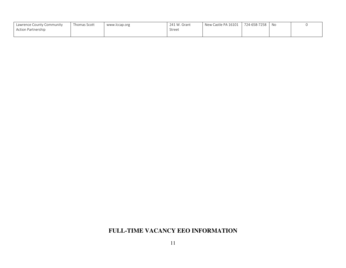| Lawrence County Community | Thomas Scott | www.lccap.org | 241 W. Grant | New Castle PA 16101 | 724-658-7258 | No |  |
|---------------------------|--------------|---------------|--------------|---------------------|--------------|----|--|
| Action Partnership        |              |               | Street       |                     |              |    |  |
|                           |              |               |              |                     |              |    |  |

### **FULL-TIME VACANCY EEO INFORMATION**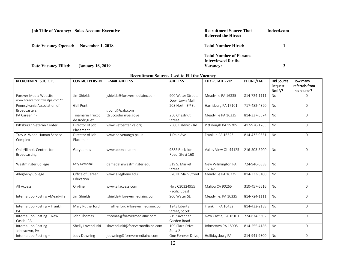| <b>Job Title of Vacancy: Sales Account Executive</b>   | <b>Recruitment Source That</b><br><b>Referred the Hiree:</b>      | Indeed.com |
|--------------------------------------------------------|-------------------------------------------------------------------|------------|
| <b>Date Vacancy Opened:</b><br><b>November 1, 2018</b> | <b>Total Number Hired:</b>                                        |            |
| <b>Date Vacancy Filled:</b><br><b>January 16, 2019</b> | <b>Total Number of Persons</b><br>Interviewed for the<br>Vacancy: | 3          |

| <b>RECRUITMENT SOURCES</b>      | <b>CONTACT PERSON</b> | <b>E-MAIL ADDRESS</b>           | <b>ADDRESS</b>     | CITY - STATE - ZIP   | PHONE/FAX    | Did Source | How many       |
|---------------------------------|-----------------------|---------------------------------|--------------------|----------------------|--------------|------------|----------------|
|                                 |                       |                                 |                    |                      |              | Request    | referrals from |
|                                 |                       |                                 |                    |                      |              | Notify?    | this source?   |
| Forever Media Website           | Jim Shields           | jshields@forevermediainc.com    | 900 Water Street,  | Meadville PA 16335   | 814-724-1111 | No         | 0              |
| www.forevernorthwestpa.com**    |                       |                                 | Downtown Mall      |                      |              |            |                |
| Pennsylvania Association of     | Gail Ponti            |                                 | 208 North 3rd St.  | Harrisburg PA 17101  | 717-482-4820 | <b>No</b>  | $\Omega$       |
| <b>Broadcasters</b>             |                       | gponti@pab.com                  |                    |                      |              |            |                |
| PA Careerlink                   | Tinamarie Trucco      | ttruccoder@pa.gove              | 260 Chestnut       | Meadville PA 16335   | 814-337-5574 | <b>No</b>  | $\Omega$       |
|                                 | de Rodriguez          |                                 | Street             |                      |              |            |                |
| Pittsburgh Veteran Center       | Director of Job       | www.vetcenter.va.org            | 2500 Baldwick Rd.  | Pittsburgh PA 15205  | 412-920-1765 | <b>No</b>  | $\Omega$       |
|                                 | Placement             |                                 |                    |                      |              |            |                |
| Troy A. Wood Human Service      | Director of Job       | www.co.venango.pa.us            | 1 Dale Ave.        | Franklin PA 16323    | 814-432-9551 | <b>No</b>  | 0              |
| Complex                         | Placement             |                                 |                    |                      |              |            |                |
|                                 |                       |                                 |                    |                      |              |            |                |
| Ohio/Illinois Centers for       | Gary James            | www.beonair.com                 | 9885 Rockside      | Valley View Oh 44125 | 216-503-5900 | <b>No</b>  | $\Omega$       |
| <b>Broadcasting</b>             |                       |                                 | Road, Ste #160     |                      |              |            |                |
|                                 |                       |                                 |                    |                      |              |            |                |
| Westminster College             | Katy Demedal          | demedal@westminster.edu         | 319 S. Market      | New Wilmington PA    | 724-946-6338 | <b>No</b>  | $\overline{0}$ |
|                                 |                       |                                 | Street             | 16142                |              |            |                |
| Allegheny College               | Office of Career      | www.allegheny.edu               | 520 N. Main Street | Meadville PA 16335   | 814-333-3100 | <b>No</b>  | $\Omega$       |
|                                 | Education             |                                 |                    |                      |              |            |                |
| All Access                      | On-line               | www.allaccess.com               | Hwy C30324955      | Malibu CA 90265      | 310-457-6616 | <b>No</b>  | $\Omega$       |
|                                 |                       |                                 | Pacific Coast      |                      |              |            |                |
| Internal Job Posting-Meadville  | Jim Shields           | jshields@forevermediainc.com    | 900 Water St.      | Meadville, PA 16335  | 814-724-1111 | <b>No</b>  | $\Omega$       |
|                                 |                       |                                 |                    |                      |              |            |                |
| Internal Job Posting - Franklin | Mary Rutherford       | mrutherford@forevermediainc.com | 1243 Liberty       | Franklin PA 16432    | 814-432-2188 | <b>No</b>  | $\overline{0}$ |
| PA                              |                       |                                 | Street, St 501     |                      |              |            |                |
| Internal Job Posting - New      | John Thomas           | jthomas@forevermediainc.com     | 219 Savannah       | New Castle, PA 16101 | 724-674-5502 | <b>No</b>  | $\overline{0}$ |
| Castle, PA                      |                       |                                 | Garden Road        |                      |              |            |                |
| Internal Job Posting-           | Shelly Lovenduski     | slovenduski@forevermediainc.com | 109 Plaza Drive,   | Johnstown PA 15905   | 814-255-4186 | <b>No</b>  | $\Omega$       |
| Johnstown, PA                   |                       |                                 | Ste $#2$           |                      |              |            |                |
| Internal Job Posting-           | Jody Downing          | jdowning@forevermediainc.com    | One Forever Drive, | Hollidaysburg PA     | 814-941-9800 | <b>No</b>  | $\overline{O}$ |
|                                 |                       |                                 |                    |                      |              |            |                |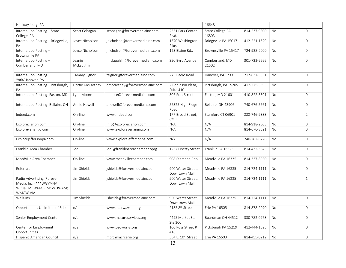| Hollidaysburg, PA                        |                     |                                 |                                | 16648                |              |           |                |
|------------------------------------------|---------------------|---------------------------------|--------------------------------|----------------------|--------------|-----------|----------------|
| Internal Job Posting - State             | Scott Cohagan       | scohagan@forevermediainc.com    | 2551 Park Center               | State College PA     | 814-237-9800 | <b>No</b> | $\Omega$       |
| College, PA                              |                     |                                 | Blvd.                          | 16803                |              |           |                |
| Internal Job Posting - Bridgeville,      | Joyce Nicholson     | jnicholson@forevermediainc.com  | 1370 Washington                | Bridgeville PA 15017 | 412-221-1629 | <b>No</b> | $\Omega$       |
| PA                                       |                     |                                 | Pike,                          |                      |              |           |                |
| Internal Job Posting-                    | Joyce Nicholson     | jnicholson@forevermediainc.com  | 123 Blaine Rd.,                | Brownsville PA 15417 | 724-938-2000 | <b>No</b> | $\overline{0}$ |
| <b>Brownsville PA</b>                    |                     |                                 |                                |                      |              |           |                |
| Internal Job Posting-                    | Jeanie              | jmclaughlin@forevermediainc.com | 350 Byrd Avenue                | Cumberland, MD       | 301-722-6666 | <b>No</b> | $\Omega$       |
| Cumberland, MD                           | McLaughlin          |                                 |                                | 21502                |              |           |                |
|                                          |                     |                                 |                                |                      |              |           |                |
| Internal Job Posting-                    | <b>Tammy Signor</b> | tsignor@forevermediainc.com     | 275 Radio Road                 | Hanover, PA 17331    | 717-637-3831 | <b>No</b> | $\mathbf{0}$   |
| York/Hanover, PA                         |                     |                                 |                                | Pittsburgh, PA 15205 |              |           |                |
| Internal Job Posting - Pittsburgh,<br>PA | Dottie McCartney    | dmccartney@forevermediainc.com  | 2 Robinson Plaza,<br>Suite 410 |                      | 412-275-3393 | <b>No</b> | $\overline{0}$ |
| Internal Job Posting-Easton, MD          | Lynn Moore          | Imoore@forevermediainc.com      | 306 Port Street                | Easton, MD 21601     | 410-822-3301 | No        | $\overline{0}$ |
|                                          |                     |                                 |                                |                      |              |           |                |
| Internal Job Posting-Bellaire, OH        | Annie Howell        | ahowell@forevermediainc.com     | 56325 High Ridge               | Bellaire, OH 43906   | 740-676-5661 | <b>No</b> | $\Omega$       |
|                                          |                     |                                 | Road                           |                      |              |           |                |
| Indeed.com                               | On-line             | www.indeed.com                  | 177 Broad Street,              | Stamford CT 06901    | 888-746-9333 | <b>No</b> | $\overline{2}$ |
|                                          |                     |                                 | $6th$ FI                       |                      |              |           |                |
| Exploreclarion.com                       | On-line             | info@exploreclarion.com         | N/A                            | N/A                  | 814-918-2003 | No        | $\overline{0}$ |
| Explorevenango.com                       | On-line             | www.explorevenango.com          | N/A                            | N/A                  | 814-676-8521 | <b>No</b> | $\mathbf{0}$   |
|                                          |                     |                                 |                                |                      |              |           |                |
| Explorejeffersonpa.com                   | On-line             | www.explorejeffersonpa.com      | N/A                            | N/A                  | 740-282-6226 | No        | $\overline{0}$ |
|                                          |                     |                                 |                                |                      |              |           |                |
| Franklin Area Chamber                    | Jodi                | jodi@franklinareachamber.oprg   | 1237 Liberty Street            | Franklin PA 16323    | 814-432-5843 | <b>No</b> | $\overline{0}$ |
|                                          |                     |                                 |                                |                      |              |           |                |
| Meadville Area Chamber                   | On-line             | www.meadvillechamber.com        | 908 Diamond Park               | Meadville PA 16335   | 814-337-8030 | No        | $\mathbf{0}$   |
| Referrals                                | Jim Shields         | jshields@forevermediainc.com    | 900 Water Street,              | Meadville PA 16335   | 814-724-1111 | No        | $\Omega$       |
|                                          |                     |                                 | Downtown Mall                  |                      |              |           |                |
| Radio Advertising (Forever               | Jim Shields         | jshields@forevermediainc.com    | 900 Water Street,              | Meadville PA 16335   | 814-724-1111 | No        | $\mathbf{1}$   |
| Media, Inc.) *** WGYY-FM;                |                     |                                 | Downtown Mall                  |                      |              |           |                |
| WRQI-FM; WXMJ-FM; WTIV-AM;               |                     |                                 |                                |                      |              |           |                |
| WMGW-AM                                  |                     |                                 |                                |                      |              |           |                |
| Walk-Ins                                 | Jim Shields         | jshields@forevermediainc.com    | 900 Water Street,              | Meadville PA 16335   | 814-724-1111 | <b>No</b> | $\overline{0}$ |
|                                          |                     |                                 | Downtown Mall                  |                      |              |           |                |
| Opportunities Unlimited of Erie          | n/a                 | www.stairwaysbh.org             | 2185 8th Street                | Erie PA 16505        | 814-878-2070 | <b>No</b> | $\overline{0}$ |
|                                          |                     |                                 |                                |                      |              |           |                |
| Senior Employment Center                 | n/a                 | www.matureservices.org          | 4495 Market St.,               | Boardman OH 44512    | 330-782-0978 | <b>No</b> | $\overline{0}$ |
|                                          |                     |                                 | Ste 300                        |                      |              |           |                |
| Center for Employment                    | n/a                 | www.ceoworks.org                | 100 Ross Street #              | Pittsburgh PA 15219  | 412-444-1025 | <b>No</b> | $\Omega$       |
| Opportunities                            |                     |                                 | 416                            |                      |              |           |                |
| Hispanic American Council                | n/a                 | mcrc@mcrcerie.org               | 554 E. 10th Street             | Erie PA 16503        | 814-455-0212 | <b>No</b> | $\overline{0}$ |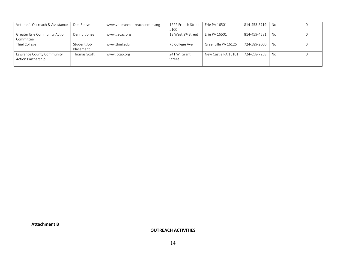| Veteran's Outreach & Assistance      | Don Reeve     | www.veteransoutreachcenter.org | 1222 French Street | Erie PA 16501       | 814-453-5719 | No   |  |
|--------------------------------------|---------------|--------------------------------|--------------------|---------------------|--------------|------|--|
|                                      |               |                                | #100               |                     |              |      |  |
| <b>Greater Erie Community Action</b> | Dann J. Jones | www.gecac.org                  | 18 West 9th Street | Erie PA 16501       | 814-459-4581 | No   |  |
| Committee                            |               |                                |                    |                     |              |      |  |
| Thiel College                        | Student Job   | www.thiel.edu                  | 75 College Ave     | Greenville PA 16125 | 724-589-2000 | - No |  |
|                                      | Placement     |                                |                    |                     |              |      |  |
| Lawrence County Community            | Thomas Scott  | www.lccap.org                  | 241 W. Grant       | New Castle PA 16101 | 724-658-7258 | No   |  |
| <b>Action Partnership</b>            |               |                                | Street             |                     |              |      |  |
|                                      |               |                                |                    |                     |              |      |  |

**Attachment B** 

**OUTREACH ACTIVITIES**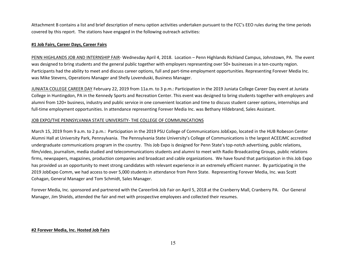Attachment B contains a list and brief description of menu option activities undertaken pursuant to the FCC's EEO rules during the time periods covered by this report. The stations have engaged in the following outreach activities:

### **#1 Job Fairs, Career Days, Career Fairs**

PENN HIGHLANDS JOB AND INTERNSHIP FAIR- Wednesday April 4, 2018. Location – Penn Highlands Richland Campus, Johnstown, PA. The event was designed to bring students and the general public together with employers representing over 50+ businesses in a ten-county region. Participants had the ability to meet and discuss career options, full and part-time employment opportunities. Representing Forever Media Inc. was Mike Stevens, Operations Manager and Shelly Lovenduski, Business Manager.

JUNIATA COLLEGE CAREER DAY February 22, 2019 from 11a.m. to 3 p.m.: Participation in the 2019 Juniata College Career Day event at Juniata College in Huntingdon, PA in the Kennedy Sports and Recreation Center. This event was designed to bring students together with employers and alumni from 120+ business, industry and public service in one convenient location and time to discuss student career options, internships and full-time employment opportunities. In attendance representing Forever Media Inc. was Bethany Hildebrand, Sales Assistant.

### JOB EXPO/THE PENNSYLVANIA STATE UNIVERSITY- THE COLLEGE OF COMMUNICATIONS

March 15, 2019 from 9 a.m. to 2 p.m.: Participation in the 2019 PSU College of Communications JobExpo, located in the HUB Robeson Center Alumni Hall at University Park, Pennsylvania. The Pennsylvania State University's College of Communications is the largest ACEEJMC accredited undergraduate communications program in the country. This Job Expo is designed for Penn State's top-notch advertising, public relations, film/video, journalism, media studied and telecommunications students and alumni to meet with Radio Broadcasting Groups, public relations firms, newspapers, magazines, production companies and broadcast and cable organizations. We have found that participation in this Job Expo has provided us an opportunity to meet strong candidates with relevant experience in an extremely efficient manner. By participating in the 2019 JobExpo Comm, we had access to over 5,000 students in attendance from Penn State. Representing Forever Media, Inc. was Scott Cohagan, General Manager and Tom Schmidt, Sales Manager.

Forever Media, Inc. sponsored and partnered with the Careerlink Job Fair on April 5, 2018 at the Cranberry Mall, Cranberry PA. Our General Manager, Jim Shields, attended the fair and met with prospective employees and collected their resumes.

### **#2 Forever Media, Inc. Hosted Job Fairs**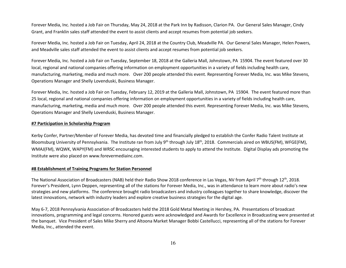Forever Media, Inc. hosted a Job Fair on Thursday, May 24, 2018 at the Park Inn by Radisson, Clarion PA. Our General Sales Manager, Cindy Grant, and Franklin sales staff attended the event to assist clients and accept resumes from potential job seekers.

Forever Media, Inc. hosted a Job Fair on Tuesday, April 24, 2018 at the Country Club, Meadville PA. Our General Sales Manager, Helen Powers, and Meadville sales staff attended the event to assist clients and accept resumes from potential job seekers.

Forever Media, Inc. hosted a Job Fair on Tuesday, September 18, 2018 at the Galleria Mall, Johnstown, PA 15904. The event featured over 30 local, regional and national companies offering information on employment opportunities in a variety of fields including health care, manufacturing, marketing, media and much more. Over 200 people attended this event. Representing Forever Media, Inc. was Mike Stevens, Operations Manager and Shelly Lovenduski, Business Manager.

Forever Media, Inc. hosted a Job Fair on Tuesday, February 12, 2019 at the Galleria Mall, Johnstown, PA 15904. The event featured more than 25 local, regional and national companies offering information on employment opportunities in a variety of fields including health care, manufacturing, marketing, media and much more. Over 200 people attended this event. Representing Forever Media, Inc. was Mike Stevens, Operations Manager and Shelly Lovenduski, Business Manager.

#### **#7 Participation in Scholarship Program**

Kerby Confer, Partner/Member of Forever Media, has devoted time and financially pledged to establish the Confer Radio Talent Institute at Bloomsburg University of Pennsylvania. The Institute ran from July 9<sup>th</sup> through July 18<sup>th</sup>, 2018. Commercials aired on WBUS(FM), WFGE(FM), WMAJ(FM), WQWK, WAPY(FM) and WRSC encouraging interested students to apply to attend the Institute. Digital Display ads promoting the Institute were also placed on www.forevermediainc.com.

#### **#8 Establishment of Training Programs for Station Personnel**

The National Association of Broadcasters (NAB) held their Radio Show 2018 conference in Las Vegas, NV from April 7<sup>th</sup> through 12<sup>th</sup>, 2018. Forever's President, Lynn Deppen, representing all of the stations for Forever Media, Inc., was in attendance to learn more about radio's new strategies and new platforms. The conference brought radio broadcasters and industry colleagues together to share knowledge, discover the latest innovations, network with industry leaders and explore creative business strategies for the digital age.

May 6-7, 2018 Pennsylvania Association of Broadcasters held the 2018 Gold Metal Meeting in Hershey, PA. Presentations of broadcast innovations, programming and legal concerns. Honored guests were acknowledged and Awards for Excellence in Broadcasting were presented at the banquet. Vice President of Sales Mike Sherry and Altoona Market Manager Bobbi Castellucci, representing all of the stations for Forever Media, Inc., attended the event.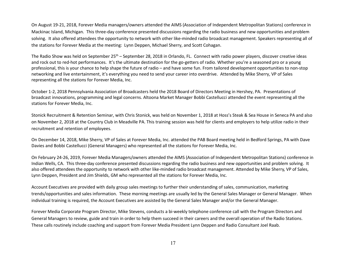On August 19-21, 2018, Forever Media managers/owners attended the AIMS (Association of Independent Metropolitan Stations) conference in Mackinac Island, Michigan. This three-day conference presented discussions regarding the radio business and new opportunities and problem solving. It also offered attendees the opportunity to network with other like-minded radio broadcast management. Speakers representing all of the stations for Forever Media at the meeting: Lynn Deppen, Michael Sherry, and Scott Cohagan.

The Radio Show was held on September 25<sup>th</sup> – September 28, 2018 in Orlando, FL. Connect with radio power players, discover creative ideas and rock out to red-hot performances. It's the ultimate destination for the go-getters of radio. Whether you're a seasoned pro or a young professional, this is your chance to help shape the future of radio – and have some fun. From tailored development opportunities to non-stop networking and live entertainment, it's everything you need to send your career into overdrive. Attended by Mike Sherry, VP of Sales representing all the stations for Forever Media, Inc.

October 1-2, 2018 Pennsylvania Association of Broadcasters held the 2018 Board of Directors Meeting in Hershey, PA. Presentations of broadcast innovations, programming and legal concerns. Altoona Market Manager Bobbi Castellucci attended the event representing all the stations for Forever Media, Inc.

Stonick Recruitment & Retention Seminar, with Chris Stonick, was held on November 1, 2018 at Hoss's Steak & Sea House in Seneca PA and also on November 2, 2018 at the Country Club in Meadville PA. This training session was held for clients and employers to help utilize radio in their recruitment and retention of employees.

On December 14, 2018, Mike Sherry, VP of Sales at Forever Media, Inc. attended the PAB Board meeting held in Bedford Springs, PA with Dave Davies and Bobbi Castellucci (General Managers) who represented all the stations for Forever Media, Inc.

On February 24-26, 2019, Forever Media Managers/owners attended the AIMS (Association of Independent Metropolitan Stations) conference in Indian Wells, CA. This three-day conference presented discussions regarding the radio business and new opportunities and problem solving. It also offered attendees the opportunity to network with other like-minded radio broadcast management. Attended by Mike Sherry, VP of Sales, Lynn Deppen, President and Jim Shields, GM who represented all the stations for Forever Media, Inc.

Account Executives are provided with daily group sales meetings to further their understanding of sales, communication, marketing trends/opportunities and sales information. These morning meetings are usually led by the General Sales Manager or General Manager. When individual training is required, the Account Executives are assisted by the General Sales Manager and/or the General Manager.

Forever Media Corporate Program Director, Mike Stevens, conducts a bi-weekly telephone conference call with the Program Directors and General Managers to review, guide and train in order to help them succeed in their careers and the overall operation of the Radio Stations. These calls routinely include coaching and support from Forever Media President Lynn Deppen and Radio Consultant Joel Raab.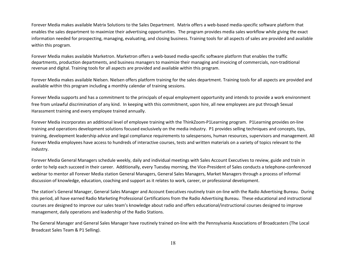Forever Media makes available Matrix Solutions to the Sales Department. Matrix offers a web-based media-specific software platform that enables the sales department to maximize their advertising opportunities. The program provides media sales workflow while giving the exact information needed for prospecting, managing, evaluating, and closing business. Training tools for all aspects of sales are provided and available within this program.

Forever Media makes available Marketron. Marketron offers a web-based media-specific software platform that enables the traffic departments, production departments, and business managers to maximize their managing and invoicing of commercials, non-traditional revenue and digital. Training tools for all aspects are provided and available within this program.

Forever Media makes available Nielsen. Nielsen offers platform training for the sales department. Training tools for all aspects are provided and available within this program including a monthly calendar of training sessions.

Forever Media supports and has a commitment to the principals of equal employment opportunity and intends to provide a work environment free from unlawful discrimination of any kind. In keeping with this commitment, upon hire, all new employees are put through Sexual Harassment training and every employee trained annually.

Forever Media incorporates an additional level of employee training with the ThinkZoom-P1Learning program. P1Learning provides on-line training and operations development solutions focused exclusively on the media industry. P1 provides selling techniques and concepts, tips, training, development leadership advice and legal compliance requirements to salespersons, human resources, supervisors and management. All Forever Media employees have access to hundreds of interactive courses, tests and written materials on a variety of topics relevant to the industry.

Forever Media General Managers schedule weekly, daily and individual meetings with Sales Account Executives to review, guide and train in order to help each succeed in their career. Additionally, every Tuesday morning, the Vice-President of Sales conducts a telephone-conferenced webinar to mentor all Forever Media station General Managers, General Sales Managers, Market Managers through a process of informal discussion of knowledge, education, coaching and support as it relates to work, career, or professional development.

The station's General Manager, General Sales Manager and Account Executives routinely train on-line with the Radio Advertising Bureau. During this period, all have earned Radio Marketing Professional Certifications from the Radio Advertising Bureau. These educational and instructional courses are designed to improve our sales team's knowledge about radio and offers educational/instructional courses designed to improve management, daily operations and leadership of the Radio Stations.

The General Manager and General Sales Manager have routinely trained on-line with the Pennsylvania Associations of Broadcasters (The Local Broadcast Sales Team & P1 Selling).